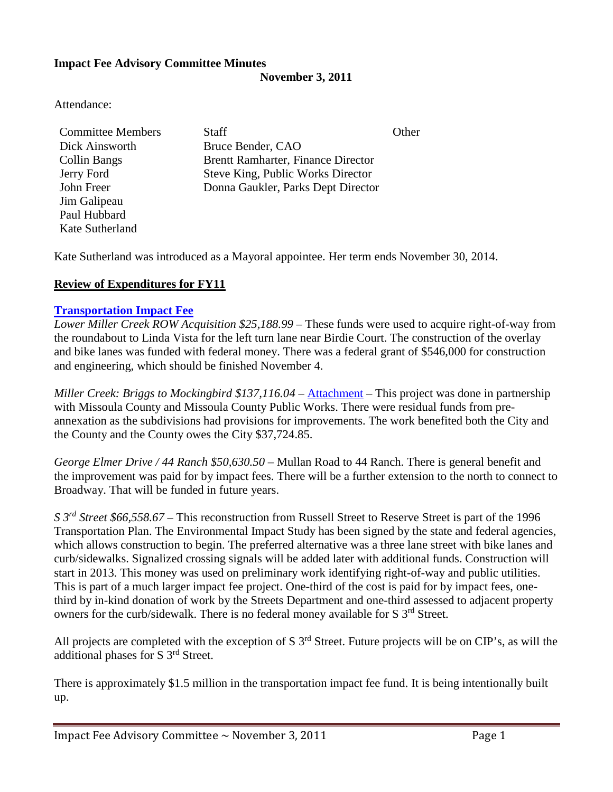### **Impact Fee Advisory Committee Minutes**

**November 3, 2011**

Attendance:

| <b>Committee Members</b> | <b>Staff</b>                              | Other |
|--------------------------|-------------------------------------------|-------|
| Dick Ainsworth           | Bruce Bender, CAO                         |       |
| <b>Collin Bangs</b>      | <b>Brentt Ramharter, Finance Director</b> |       |
| Jerry Ford               | Steve King, Public Works Director         |       |
| John Freer               | Donna Gaukler, Parks Dept Director        |       |
| Jim Galipeau             |                                           |       |
| Paul Hubbard             |                                           |       |
| Kate Sutherland          |                                           |       |

Kate Sutherland was introduced as a Mayoral appointee. Her term ends November 30, 2014.

# **Review of Expenditures for FY11**

### **[Transportation](ftp://ftp.ci.missoula.mt.us/Documents/Mayor/IFAC/2011/111103/111103TransImpFee.pdf103/) Impact Fee**

*Lower Miller Creek ROW Acquisition \$25,188.99* – These funds were used to acquire right-of-way from the roundabout to Linda Vista for the left turn lane near Birdie Court. The construction of the overlay and bike lanes was funded with federal money. There was a federal grant of \$546,000 for construction and engineering, which should be finished November 4.

*Miller Creek: Briggs to Mockingbird \$137,116.04* – [Attachment](ftp://ftp.ci.missoula.mt.us/Documents/Mayor/IFAC/2011/111103/111103MillerCrFund.pdf) – This project was done in partnership with Missoula County and Missoula County Public Works. There were residual funds from preannexation as the subdivisions had provisions for improvements. The work benefited both the City and the County and the County owes the City \$37,724.85.

*George Elmer Drive / 44 Ranch \$50,630.50* – Mullan Road to 44 Ranch. There is general benefit and the improvement was paid for by impact fees. There will be a further extension to the north to connect to Broadway. That will be funded in future years.

*S 3rd Street \$66,558.67* – This reconstruction from Russell Street to Reserve Street is part of the 1996 Transportation Plan. The Environmental Impact Study has been signed by the state and federal agencies, which allows construction to begin. The preferred alternative was a three lane street with bike lanes and curb/sidewalks. Signalized crossing signals will be added later with additional funds. Construction will start in 2013. This money was used on preliminary work identifying right-of-way and public utilities. This is part of a much larger impact fee project. One-third of the cost is paid for by impact fees, onethird by in-kind donation of work by the Streets Department and one-third assessed to adjacent property owners for the curb/sidewalk. There is no federal money available for S 3<sup>rd</sup> Street.

All projects are completed with the exception of S  $3<sup>rd</sup>$  Street. Future projects will be on CIP's, as will the additional phases for S 3rd Street.

There is approximately \$1.5 million in the transportation impact fee fund. It is being intentionally built up.